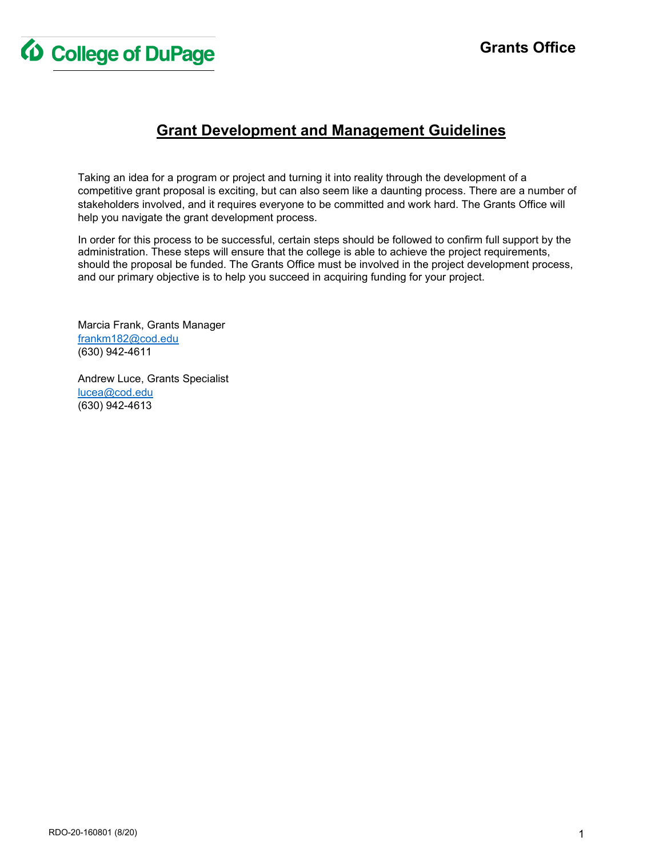

## **Grant Development and Management Guidelines**

Taking an idea for a program or project and turning it into reality through the development of a competitive grant proposal is exciting, but can also seem like a daunting process. There are a number of stakeholders involved, and it requires everyone to be committed and work hard. The Grants Office will help you navigate the grant development process.

In order for this process to be successful, certain steps should be followed to confirm full support by the administration. These steps will ensure that the college is able to achieve the project requirements, should the proposal be funded. The Grants Office must be involved in the project development process, and our primary objective is to help you succeed in acquiring funding for your project.

Marcia Frank, Grants Manager [frankm182@cod.edu](mailto:frankm182@cod.edu) (630) 942-4611

Andrew Luce, Grants Specialist [lucea@cod.edu](mailto:lucea@cod.edu) (630) 942-4613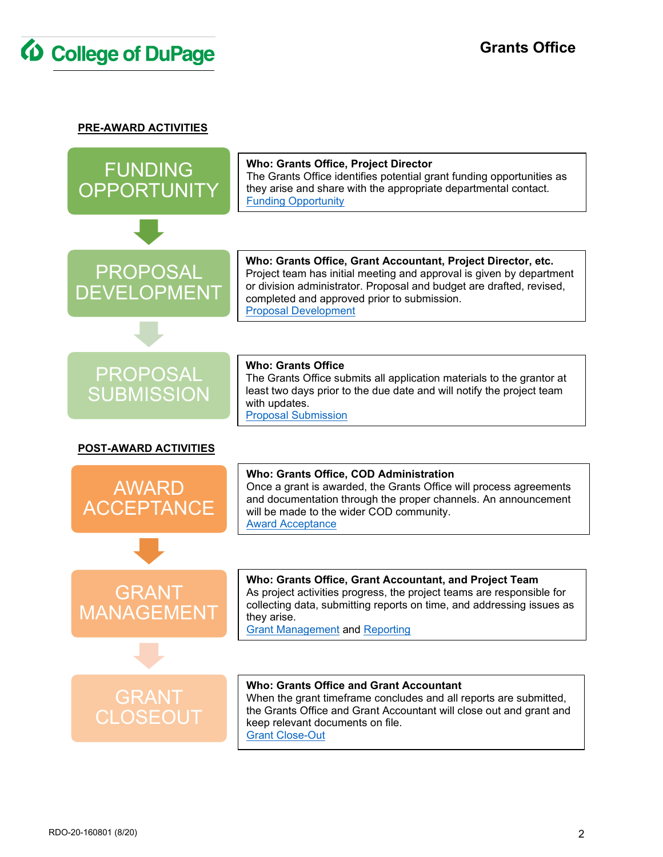

**PRE-AWARD ACTIVITIES**

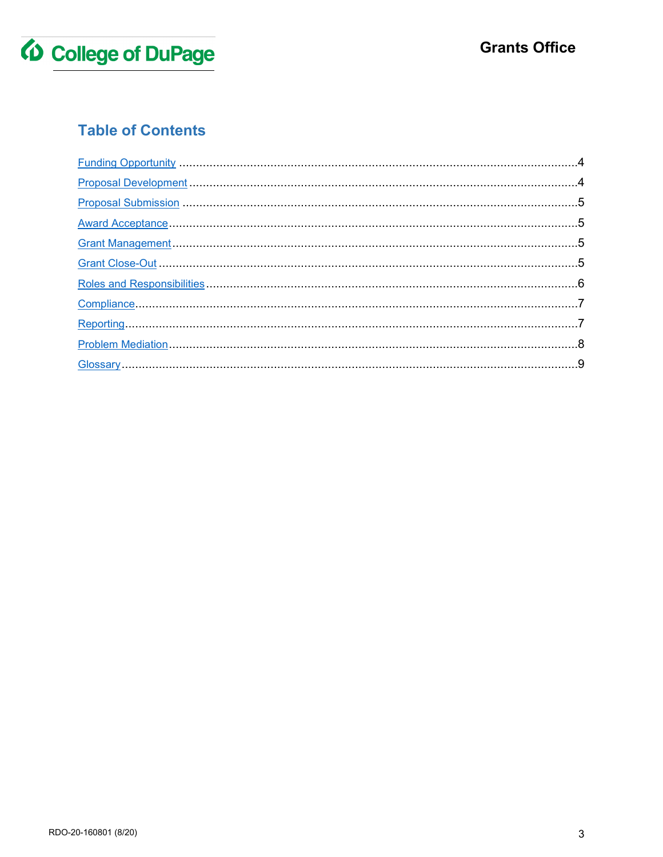

# **Table of Contents**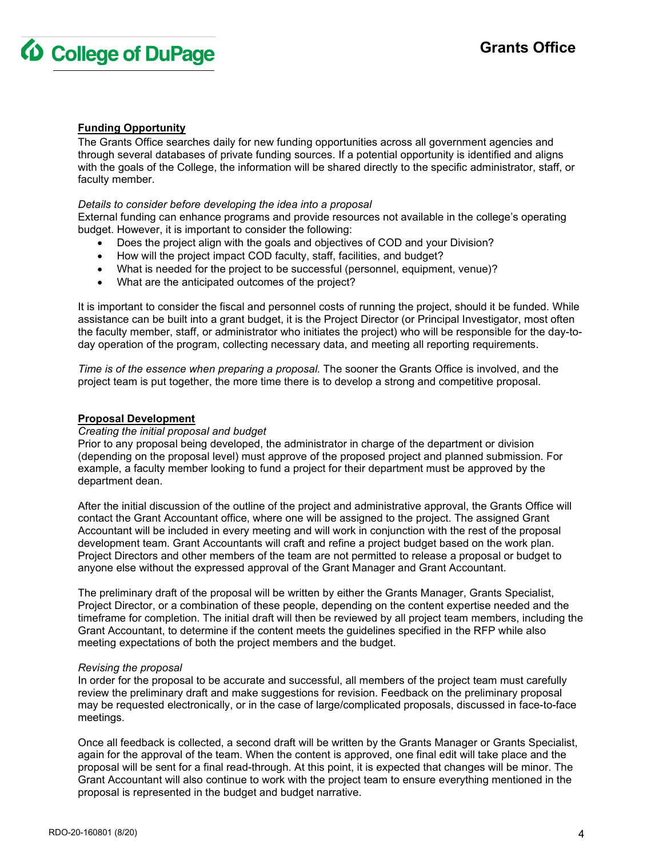

## <span id="page-3-0"></span>**Funding Opportunity**

The Grants Office searches daily for new funding opportunities across all government agencies and through several databases of private funding sources. If a potential opportunity is identified and aligns with the goals of the College, the information will be shared directly to the specific administrator, staff, or faculty member.

#### *Details to consider before developing the idea into a proposal*

External funding can enhance programs and provide resources not available in the college's operating budget. However, it is important to consider the following:

- Does the project align with the goals and objectives of COD and your Division?
- How will the project impact COD faculty, staff, facilities, and budget?
- What is needed for the project to be successful (personnel, equipment, venue)?
- What are the anticipated outcomes of the project?

It is important to consider the fiscal and personnel costs of running the project, should it be funded. While assistance can be built into a grant budget, it is the Project Director (or Principal Investigator, most often the faculty member, staff, or administrator who initiates the project) who will be responsible for the day-today operation of the program, collecting necessary data, and meeting all reporting requirements.

*Time is of the essence when preparing a proposal.* The sooner the Grants Office is involved, and the project team is put together, the more time there is to develop a strong and competitive proposal.

#### <span id="page-3-1"></span>**Proposal Development**

#### *Creating the initial proposal and budget*

Prior to any proposal being developed, the administrator in charge of the department or division (depending on the proposal level) must approve of the proposed project and planned submission. For example, a faculty member looking to fund a project for their department must be approved by the department dean.

After the initial discussion of the outline of the project and administrative approval, the Grants Office will contact the Grant Accountant office, where one will be assigned to the project. The assigned Grant Accountant will be included in every meeting and will work in conjunction with the rest of the proposal development team. Grant Accountants will craft and refine a project budget based on the work plan. Project Directors and other members of the team are not permitted to release a proposal or budget to anyone else without the expressed approval of the Grant Manager and Grant Accountant.

The preliminary draft of the proposal will be written by either the Grants Manager, Grants Specialist, Project Director, or a combination of these people, depending on the content expertise needed and the timeframe for completion. The initial draft will then be reviewed by all project team members, including the Grant Accountant, to determine if the content meets the guidelines specified in the RFP while also meeting expectations of both the project members and the budget.

#### *Revising the proposal*

In order for the proposal to be accurate and successful, all members of the project team must carefully review the preliminary draft and make suggestions for revision. Feedback on the preliminary proposal may be requested electronically, or in the case of large/complicated proposals, discussed in face-to-face meetings.

Once all feedback is collected, a second draft will be written by the Grants Manager or Grants Specialist, again for the approval of the team. When the content is approved, one final edit will take place and the proposal will be sent for a final read-through. At this point, it is expected that changes will be minor. The Grant Accountant will also continue to work with the project team to ensure everything mentioned in the proposal is represented in the budget and budget narrative.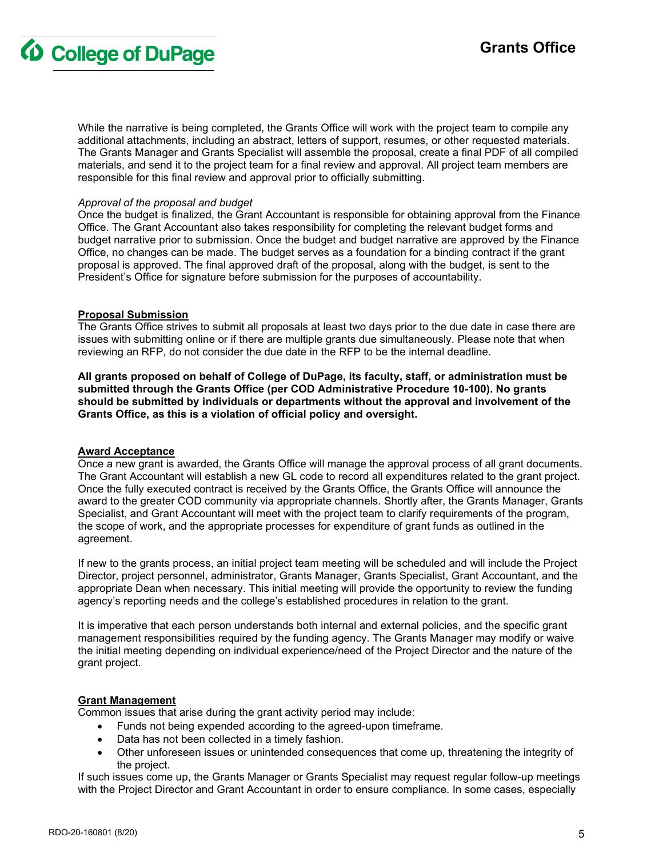## **Grants Office**

**4 College of DuPage** 

While the narrative is being completed, the Grants Office will work with the project team to compile any additional attachments, including an abstract, letters of support, resumes, or other requested materials. The Grants Manager and Grants Specialist will assemble the proposal, create a final PDF of all compiled materials, and send it to the project team for a final review and approval. All project team members are responsible for this final review and approval prior to officially submitting.

#### *Approval of the proposal and budget*

Once the budget is finalized, the Grant Accountant is responsible for obtaining approval from the Finance Office. The Grant Accountant also takes responsibility for completing the relevant budget forms and budget narrative prior to submission. Once the budget and budget narrative are approved by the Finance Office, no changes can be made. The budget serves as a foundation for a binding contract if the grant proposal is approved. The final approved draft of the proposal, along with the budget, is sent to the President's Office for signature before submission for the purposes of accountability.

## <span id="page-4-0"></span>**Proposal Submission**

The Grants Office strives to submit all proposals at least two days prior to the due date in case there are issues with submitting online or if there are multiple grants due simultaneously. Please note that when reviewing an RFP, do not consider the due date in the RFP to be the internal deadline.

**All grants proposed on behalf of College of DuPage, its faculty, staff, or administration must be submitted through the Grants Office (per COD Administrative Procedure 10-100). No grants should be submitted by individuals or departments without the approval and involvement of the Grants Office, as this is a violation of official policy and oversight.** 

## <span id="page-4-1"></span>**Award Acceptance**

Once a new grant is awarded, the Grants Office will manage the approval process of all grant documents. The Grant Accountant will establish a new GL code to record all expenditures related to the grant project. Once the fully executed contract is received by the Grants Office, the Grants Office will announce the award to the greater COD community via appropriate channels. Shortly after, the Grants Manager, Grants Specialist, and Grant Accountant will meet with the project team to clarify requirements of the program, the scope of work, and the appropriate processes for expenditure of grant funds as outlined in the agreement.

If new to the grants process, an initial project team meeting will be scheduled and will include the Project Director, project personnel, administrator, Grants Manager, Grants Specialist, Grant Accountant, and the appropriate Dean when necessary. This initial meeting will provide the opportunity to review the funding agency's reporting needs and the college's established procedures in relation to the grant.

It is imperative that each person understands both internal and external policies, and the specific grant management responsibilities required by the funding agency. The Grants Manager may modify or waive the initial meeting depending on individual experience/need of the Project Director and the nature of the grant project.

## <span id="page-4-2"></span>**Grant Management**

Common issues that arise during the grant activity period may include:

- Funds not being expended according to the agreed-upon timeframe.
- Data has not been collected in a timely fashion.
- Other unforeseen issues or unintended consequences that come up, threatening the integrity of the project.

If such issues come up, the Grants Manager or Grants Specialist may request regular follow-up meetings with the Project Director and Grant Accountant in order to ensure compliance. In some cases, especially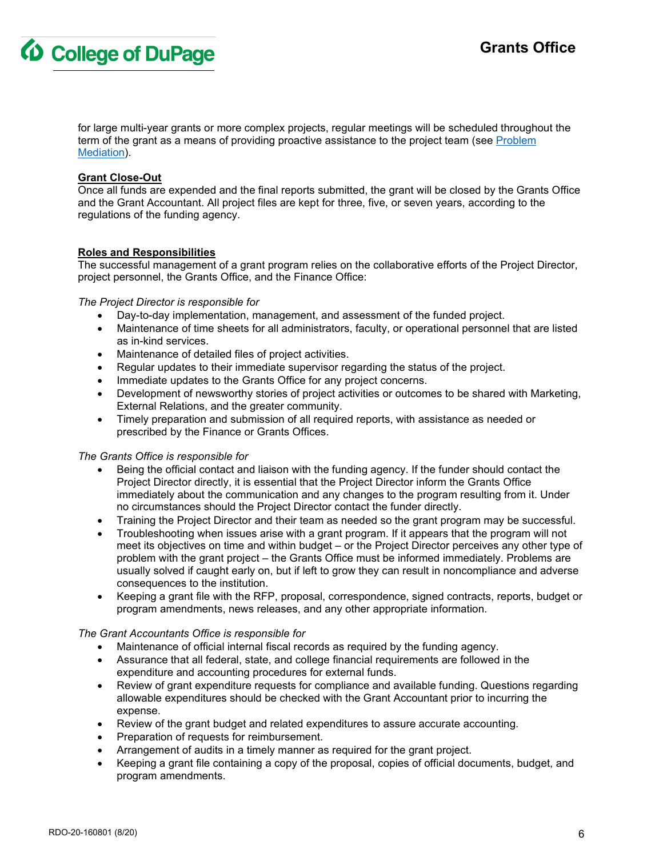**4** College of DuPage

for large multi-year grants or more complex projects, regular meetings will be scheduled throughout the term of the grant as a means of providing proactive assistance to the project team (see [Problem](#page-6-1)  [Mediation\)](#page-6-1).

## <span id="page-5-0"></span>**Grant Close-Out**

Once all funds are expended and the final reports submitted, the grant will be closed by the Grants Office and the Grant Accountant. All project files are kept for three, five, or seven years, according to the regulations of the funding agency.

## <span id="page-5-1"></span>**Roles and Responsibilities**

The successful management of a grant program relies on the collaborative efforts of the Project Director, project personnel, the Grants Office, and the Finance Office:

*The Project Director is responsible for*

- Day-to-day implementation, management, and assessment of the funded project.
- Maintenance of time sheets for all administrators, faculty, or operational personnel that are listed as in-kind services.
- Maintenance of detailed files of project activities.
- Regular updates to their immediate supervisor regarding the status of the project.
- Immediate updates to the Grants Office for any project concerns.
- Development of newsworthy stories of project activities or outcomes to be shared with Marketing, External Relations, and the greater community.
- Timely preparation and submission of all required reports, with assistance as needed or prescribed by the Finance or Grants Offices.

#### *The Grants Office is responsible for*

- Being the official contact and liaison with the funding agency. If the funder should contact the Project Director directly, it is essential that the Project Director inform the Grants Office immediately about the communication and any changes to the program resulting from it. Under no circumstances should the Project Director contact the funder directly.
- Training the Project Director and their team as needed so the grant program may be successful.
- Troubleshooting when issues arise with a grant program. If it appears that the program will not meet its objectives on time and within budget – or the Project Director perceives any other type of problem with the grant project – the Grants Office must be informed immediately. Problems are usually solved if caught early on, but if left to grow they can result in noncompliance and adverse consequences to the institution.
- Keeping a grant file with the RFP, proposal, correspondence, signed contracts, reports, budget or program amendments, news releases, and any other appropriate information.

#### *The Grant Accountants Office is responsible for*

- Maintenance of official internal fiscal records as required by the funding agency.
- Assurance that all federal, state, and college financial requirements are followed in the expenditure and accounting procedures for external funds.
- Review of grant expenditure requests for compliance and available funding. Questions regarding allowable expenditures should be checked with the Grant Accountant prior to incurring the expense.
- Review of the grant budget and related expenditures to assure accurate accounting.
- Preparation of requests for reimbursement.
- Arrangement of audits in a timely manner as required for the grant project.
- <span id="page-5-2"></span>• Keeping a grant file containing a copy of the proposal, copies of official documents, budget, and program amendments.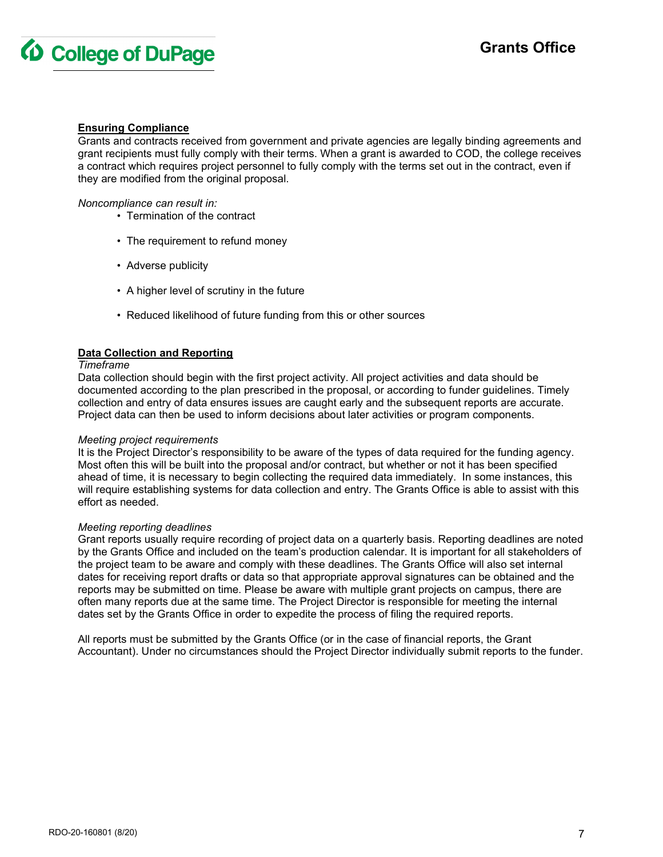

## **Ensuring Compliance**

Grants and contracts received from government and private agencies are legally binding agreements and grant recipients must fully comply with their terms. When a grant is awarded to COD, the college receives a contract which requires project personnel to fully comply with the terms set out in the contract, even if they are modified from the original proposal.

*Noncompliance can result in:*

- Termination of the contract
- The requirement to refund money
- Adverse publicity
- A higher level of scrutiny in the future
- Reduced likelihood of future funding from this or other sources

#### <span id="page-6-0"></span>**Data Collection and Reporting**

#### *Timeframe*

Data collection should begin with the first project activity. All project activities and data should be documented according to the plan prescribed in the proposal, or according to funder guidelines. Timely collection and entry of data ensures issues are caught early and the subsequent reports are accurate. Project data can then be used to inform decisions about later activities or program components.

#### *Meeting project requirements*

It is the Project Director's responsibility to be aware of the types of data required for the funding agency. Most often this will be built into the proposal and/or contract, but whether or not it has been specified ahead of time, it is necessary to begin collecting the required data immediately. In some instances, this will require establishing systems for data collection and entry. The Grants Office is able to assist with this effort as needed.

#### *Meeting reporting deadlines*

Grant reports usually require recording of project data on a quarterly basis. Reporting deadlines are noted by the Grants Office and included on the team's production calendar. It is important for all stakeholders of the project team to be aware and comply with these deadlines. The Grants Office will also set internal dates for receiving report drafts or data so that appropriate approval signatures can be obtained and the reports may be submitted on time. Please be aware with multiple grant projects on campus, there are often many reports due at the same time. The Project Director is responsible for meeting the internal dates set by the Grants Office in order to expedite the process of filing the required reports.

<span id="page-6-1"></span>All reports must be submitted by the Grants Office (or in the case of financial reports, the Grant Accountant). Under no circumstances should the Project Director individually submit reports to the funder.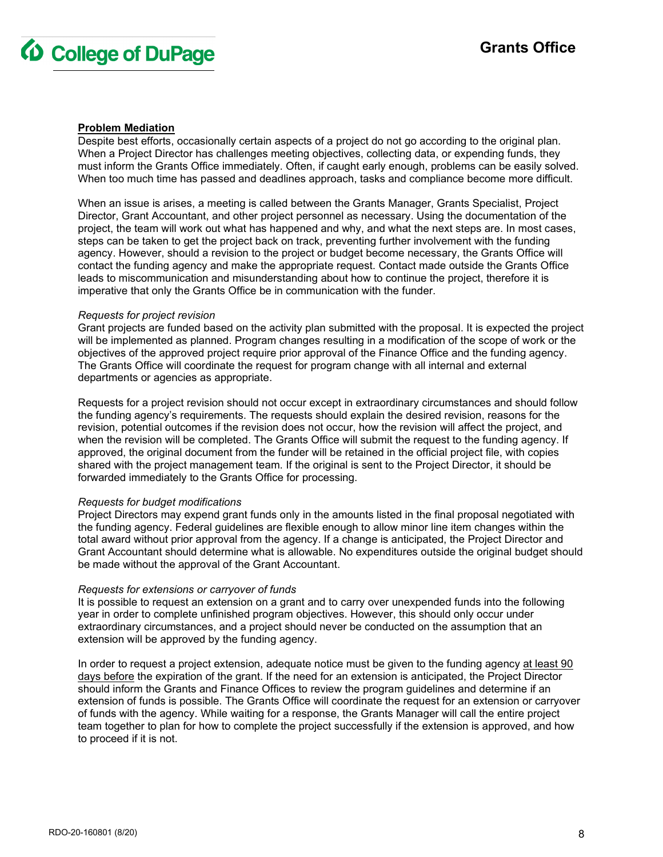

## **Problem Mediation**

Despite best efforts, occasionally certain aspects of a project do not go according to the original plan. When a Project Director has challenges meeting objectives, collecting data, or expending funds, they must inform the Grants Office immediately. Often, if caught early enough, problems can be easily solved. When too much time has passed and deadlines approach, tasks and compliance become more difficult.

When an issue is arises, a meeting is called between the Grants Manager, Grants Specialist, Project Director, Grant Accountant, and other project personnel as necessary. Using the documentation of the project, the team will work out what has happened and why, and what the next steps are. In most cases, steps can be taken to get the project back on track, preventing further involvement with the funding agency. However, should a revision to the project or budget become necessary, the Grants Office will contact the funding agency and make the appropriate request. Contact made outside the Grants Office leads to miscommunication and misunderstanding about how to continue the project, therefore it is imperative that only the Grants Office be in communication with the funder.

#### *Requests for project revision*

Grant projects are funded based on the activity plan submitted with the proposal. It is expected the project will be implemented as planned. Program changes resulting in a modification of the scope of work or the objectives of the approved project require prior approval of the Finance Office and the funding agency. The Grants Office will coordinate the request for program change with all internal and external departments or agencies as appropriate.

Requests for a project revision should not occur except in extraordinary circumstances and should follow the funding agency's requirements. The requests should explain the desired revision, reasons for the revision, potential outcomes if the revision does not occur, how the revision will affect the project, and when the revision will be completed. The Grants Office will submit the request to the funding agency. If approved, the original document from the funder will be retained in the official project file, with copies shared with the project management team. If the original is sent to the Project Director, it should be forwarded immediately to the Grants Office for processing.

#### *Requests for budget modifications*

Project Directors may expend grant funds only in the amounts listed in the final proposal negotiated with the funding agency. Federal guidelines are flexible enough to allow minor line item changes within the total award without prior approval from the agency. If a change is anticipated, the Project Director and Grant Accountant should determine what is allowable. No expenditures outside the original budget should be made without the approval of the Grant Accountant.

#### *Requests for extensions or carryover of funds*

It is possible to request an extension on a grant and to carry over unexpended funds into the following year in order to complete unfinished program objectives. However, this should only occur under extraordinary circumstances, and a project should never be conducted on the assumption that an extension will be approved by the funding agency.

In order to request a project extension, adequate notice must be given to the funding agency at least 90 days before the expiration of the grant. If the need for an extension is anticipated, the Project Director should inform the Grants and Finance Offices to review the program guidelines and determine if an extension of funds is possible. The Grants Office will coordinate the request for an extension or carryover of funds with the agency. While waiting for a response, the Grants Manager will call the entire project team together to plan for how to complete the project successfully if the extension is approved, and how to proceed if it is not.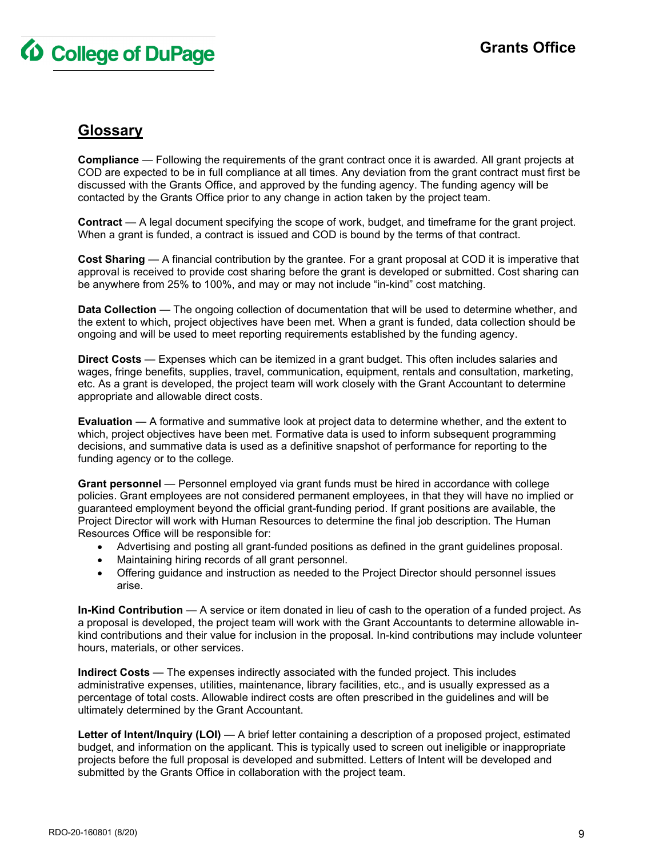

## <span id="page-8-0"></span>**Glossary**

**Compliance** — Following the requirements of the grant contract once it is awarded. All grant projects at COD are expected to be in full compliance at all times. Any deviation from the grant contract must first be discussed with the Grants Office, and approved by the funding agency. The funding agency will be contacted by the Grants Office prior to any change in action taken by the project team.

**Contract** — A legal document specifying the scope of work, budget, and timeframe for the grant project. When a grant is funded, a contract is issued and COD is bound by the terms of that contract.

**Cost Sharing** — A financial contribution by the grantee. For a grant proposal at COD it is imperative that approval is received to provide cost sharing before the grant is developed or submitted. Cost sharing can be anywhere from 25% to 100%, and may or may not include "in-kind" cost matching.

**Data Collection** — The ongoing collection of documentation that will be used to determine whether, and the extent to which, project objectives have been met. When a grant is funded, data collection should be ongoing and will be used to meet reporting requirements established by the funding agency.

**Direct Costs** — Expenses which can be itemized in a grant budget. This often includes salaries and wages, fringe benefits, supplies, travel, communication, equipment, rentals and consultation, marketing, etc. As a grant is developed, the project team will work closely with the Grant Accountant to determine appropriate and allowable direct costs.

**Evaluation** — A formative and summative look at project data to determine whether, and the extent to which, project objectives have been met. Formative data is used to inform subsequent programming decisions, and summative data is used as a definitive snapshot of performance for reporting to the funding agency or to the college.

**Grant personnel** — Personnel employed via grant funds must be hired in accordance with college policies. Grant employees are not considered permanent employees, in that they will have no implied or guaranteed employment beyond the official grant-funding period. If grant positions are available, the Project Director will work with Human Resources to determine the final job description. The Human Resources Office will be responsible for:

- Advertising and posting all grant-funded positions as defined in the grant guidelines proposal.
- Maintaining hiring records of all grant personnel.
- Offering guidance and instruction as needed to the Project Director should personnel issues arise.

**In-Kind Contribution** — A service or item donated in lieu of cash to the operation of a funded project. As a proposal is developed, the project team will work with the Grant Accountants to determine allowable inkind contributions and their value for inclusion in the proposal. In-kind contributions may include volunteer hours, materials, or other services.

**Indirect Costs** — The expenses indirectly associated with the funded project. This includes administrative expenses, utilities, maintenance, library facilities, etc., and is usually expressed as a percentage of total costs. Allowable indirect costs are often prescribed in the guidelines and will be ultimately determined by the Grant Accountant.

**Letter of Intent/Inquiry (LOI)** — A brief letter containing a description of a proposed project, estimated budget, and information on the applicant. This is typically used to screen out ineligible or inappropriate projects before the full proposal is developed and submitted. Letters of Intent will be developed and submitted by the Grants Office in collaboration with the project team.